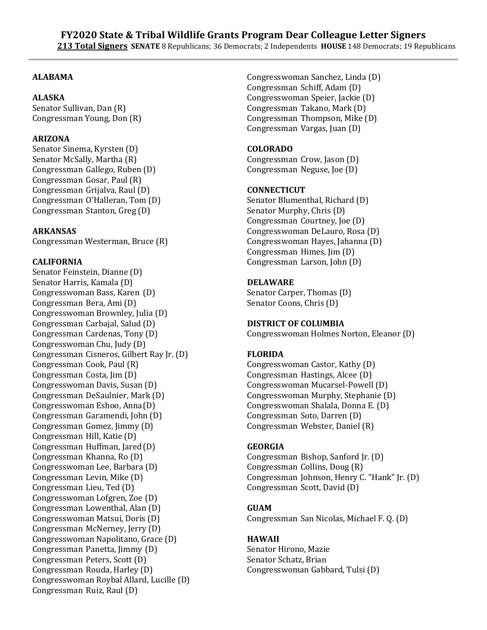# **ALABAMA**

# **ALASKA**

Senator Sullivan, Dan (R) Congressman Young, Don (R)

# **ARIZONA**

Senator Sinema, Kyrsten (D) Senator McSally, Martha (R) Congressman Gallego, Ruben (D) Congressman Gosar, Paul (R) Congressman Grijalva, Raul (D) Congressman O'Halleran, Tom (D) Congressman Stanton, Greg (D)

## **ARKANSAS**

Congressman Westerman, Bruce (R)

### **CALIFORNIA**

Senator Feinstein, Dianne (D) Senator Harris, Kamala (D) Congresswoman Bass, Karen (D) Congressman Bera, Ami (D) Congresswoman Brownley, Julia (D) Congressman Carbajal, Salud (D) Congressman Cardenas, Tony (D) Congresswoman Chu, Judy (D) Congressman Cisneros, Gilbert Ray Jr. (D) Congressman Cook, Paul (R) Congressman Costa, Jim (D) Congresswoman Davis, Susan (D) Congressman DeSaulnier, Mark (D) Congresswoman Eshoo, Anna(D) Congressman Garamendi, John (D) Congressman Gomez, Jimmy (D) Congressman Hill, Katie (D) Congressman Huffman, Jared(D) Congressman Khanna, Ro (D) Congresswoman Lee, Barbara (D) Congressman Levin, Mike (D) Congressman Lieu, Ted (D) Congresswoman Lofgren, Zoe (D) Congressman Lowenthal, Alan (D) Congresswoman Matsui, Doris (D) Congressman McNerney, Jerry (D) Congresswoman Napolitano, Grace (D) Congressman Panetta, Jimmy (D) Congressman Peters, Scott (D) Congressman Rouda, Harley (D) Congresswoman Roybal Allard, Lucille (D) Congressman Ruiz, Raul (D)

Congresswoman Sanchez, Linda (D) Congressman Schiff, Adam (D) Congresswoman Speier, Jackie (D) Congressman Takano, Mark (D) Congressman Thompson, Mike (D) Congressman Vargas, Juan (D)

# **COLORADO**

Congressman Crow, Jason (D) Congressman Neguse, Joe (D)

### **CONNECTICUT**

Senator Blumenthal, Richard (D) Senator Murphy, Chris (D) Congressman Courtney, Joe (D) Congresswoman DeLauro, Rosa (D) Congresswoman Hayes, Jahanna (D) Congressman Himes, Jim (D) Congressman Larson, John (D)

## **DELAWARE**

Senator Carper, Thomas (D) Senator Coons, Chris (D)

### **DISTRICT OF COLUMBIA**

Congresswoman Holmes Norton, Eleanor (D)

### **FLORIDA**

Congresswoman Castor, Kathy (D) Congressman Hastings, Alcee (D) Congresswoman Mucarsel-Powell (D) Congresswoman Murphy, Stephanie (D) Congresswoman Shalala, Donna E. (D) Congressman Soto, Darren (D) Congressman Webster, Daniel (R)

# **GEORGIA**

Congressman Bishop, Sanford Jr. (D) Congressman Collins, Doug (R) Congressman Johnson, Henry C. "Hank" Jr. (D) Congressman Scott, David (D)

# **GUAM**

Congressman San Nicolas, Michael F. Q. (D)

### **HAWAII**

Senator Hirono, Mazie Senator Schatz, Brian Congresswoman Gabbard, Tulsi (D)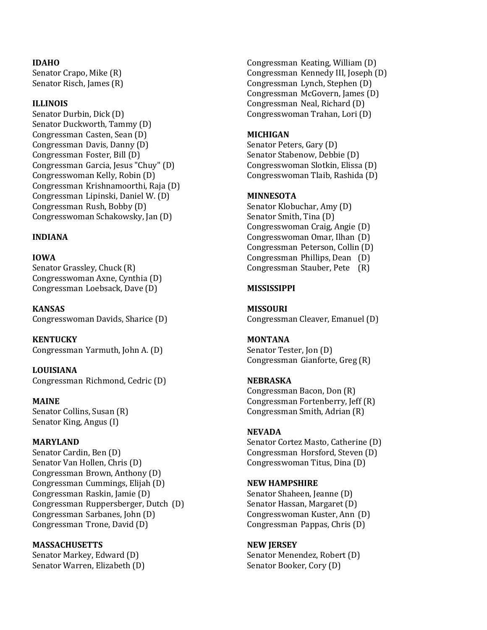### **IDAHO**

Senator Crapo, Mike (R) Senator Risch, James (R)

#### **ILLINOIS**

Senator Durbin, Dick (D) Senator Duckworth, Tammy (D) Congressman Casten, Sean (D) Congressman Davis, Danny (D) Congressman Foster, Bill (D) Congressman Garcia, Jesus "Chuy" (D) Congresswoman Kelly, Robin (D) Congressman Krishnamoorthi, Raja (D) Congressman Lipinski, Daniel W. (D) Congressman Rush, Bobby (D) Congresswoman Schakowsky, Jan (D)

### **INDIANA**

**IOWA**

Senator Grassley, Chuck (R) Congresswoman Axne, Cynthia (D) Congressman Loebsack, Dave (D)

**KANSAS** Congresswoman Davids, Sharice (D)

**KENTUCKY** Congressman Yarmuth, John A. (D)

**LOUISIANA** Congressman Richmond, Cedric (D)

#### **MAINE**

Senator Collins, Susan (R) Senator King, Angus (I)

# **MARYLAND**

Senator Cardin, Ben (D) Senator Van Hollen, Chris (D) Congressman Brown, Anthony (D) Congressman Cummings, Elijah (D) Congressman Raskin, Jamie (D) Congressman Ruppersberger, Dutch (D) Congressman Sarbanes, John (D) Congressman Trone, David (D)

### **MASSACHUSETTS**

Senator Markey, Edward (D) Senator Warren, Elizabeth (D) Congressman Keating, William (D) Congressman Kennedy III, Joseph (D) Congressman Lynch, Stephen (D) Congressman McGovern, James (D) Congressman Neal, Richard (D) Congresswoman Trahan, Lori (D)

### **MICHIGAN**

Senator Peters, Gary (D) Senator Stabenow, Debbie (D) Congresswoman Slotkin, Elissa (D) Congresswoman Tlaib, Rashida (D)

#### **MINNESOTA**

Senator Klobuchar, Amy (D) Senator Smith, Tina (D) Congresswoman Craig, Angie (D) Congresswoman Omar, Ilhan (D) Congressman Peterson, Collin (D) Congressman Phillips, Dean (D) Congressman Stauber, Pete (R)

## **MISSISSIPPI**

**MISSOURI** Congressman Cleaver, Emanuel (D)

**MONTANA** Senator Tester, Jon (D) Congressman Gianforte, Greg (R)

### **NEBRASKA** Congressman Bacon, Don (R) Congressman Fortenberry, Jeff (R) Congressman Smith, Adrian (R)

### **NEVADA**

Senator Cortez Masto, Catherine (D) Congressman Horsford, Steven (D) Congresswoman Titus, Dina (D)

#### **NEW HAMPSHIRE**

Senator Shaheen, Jeanne (D) Senator Hassan, Margaret (D) Congresswoman Kuster, Ann (D) Congressman Pappas, Chris (D)

#### **NEW JERSEY**

Senator Menendez, Robert (D) Senator Booker, Cory (D)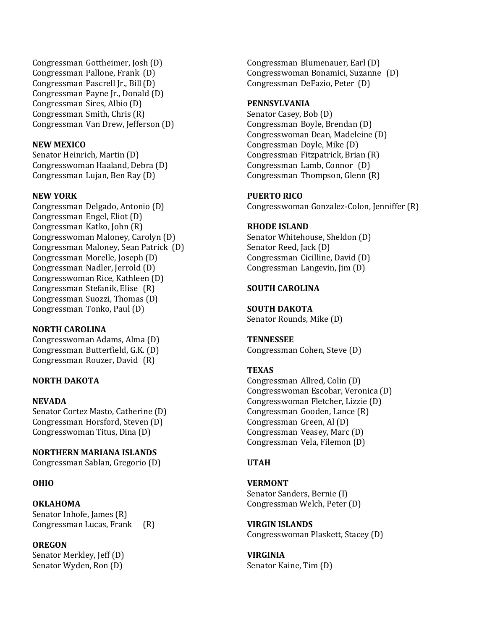Congressman Gottheimer, Josh (D) Congressman Pallone, Frank (D) Congressman Pascrell Jr., Bill(D) Congressman Payne Jr., Donald (D) Congressman Sires, Albio (D) Congressman Smith, Chris (R) Congressman Van Drew, Jefferson (D)

## **NEW MEXICO**

Senator Heinrich, Martin (D) Congresswoman Haaland, Debra (D) Congressman Lujan, Ben Ray (D)

## **NEW YORK**

Congressman Delgado, Antonio (D) Congressman Engel, Eliot (D) Congressman Katko, John (R) Congresswoman Maloney, Carolyn (D) Congressman Maloney, Sean Patrick (D) Congressman Morelle, Joseph (D) Congressman Nadler, Jerrold (D) Congresswoman Rice, Kathleen (D) Congressman Stefanik, Elise (R) Congressman Suozzi, Thomas (D) Congressman Tonko, Paul (D)

### **NORTH CAROLINA**

Congresswoman Adams, Alma (D) Congressman Butterfield, G.K. (D) Congressman Rouzer, David (R)

# **NORTH DAKOTA**

### **NEVADA**

Senator Cortez Masto, Catherine (D) Congressman Horsford, Steven (D) Congresswoman Titus, Dina (D)

### **NORTHERN MARIANA ISLANDS**

Congressman Sablan, Gregorio (D)

# **OHIO**

# **OKLAHOMA**

Senator Inhofe, James (R) Congressman Lucas, Frank (R)

# **OREGON**

Senator Merkley, Jeff (D) Senator Wyden, Ron (D)

Congressman Blumenauer, Earl (D) Congresswoman Bonamici, Suzanne (D) Congressman DeFazio, Peter (D)

### **PENNSYLVANIA**

Senator Casey, Bob (D) Congressman Boyle, Brendan (D) Congresswoman Dean, Madeleine (D) Congressman Doyle, Mike (D) Congressman Fitzpatrick, Brian (R) Congressman Lamb, Connor (D) Congressman Thompson, Glenn (R)

### **PUERTO RICO**

Congresswoman Gonzalez-Colon, Jenniffer (R)

### **RHODE ISLAND**

Senator Whitehouse, Sheldon (D) Senator Reed, Jack (D) Congressman Cicilline, David (D) Congressman Langevin, Jim (D)

## **SOUTH CAROLINA**

**SOUTH DAKOTA**

Senator Rounds, Mike (D)

**TENNESSEE** Congressman Cohen, Steve (D)

### **TEXAS**

Congressman Allred, Colin (D) Congresswoman Escobar, Veronica (D) Congresswoman Fletcher, Lizzie (D) Congressman Gooden, Lance (R) Congressman Green, Al (D) Congressman Veasey, Marc (D) Congressman Vela, Filemon (D)

### **UTAH**

**VERMONT** Senator Sanders, Bernie (I) Congressman Welch, Peter (D)

**VIRGIN ISLANDS** Congresswoman Plaskett, Stacey (D)

**VIRGINIA** Senator Kaine, Tim (D)